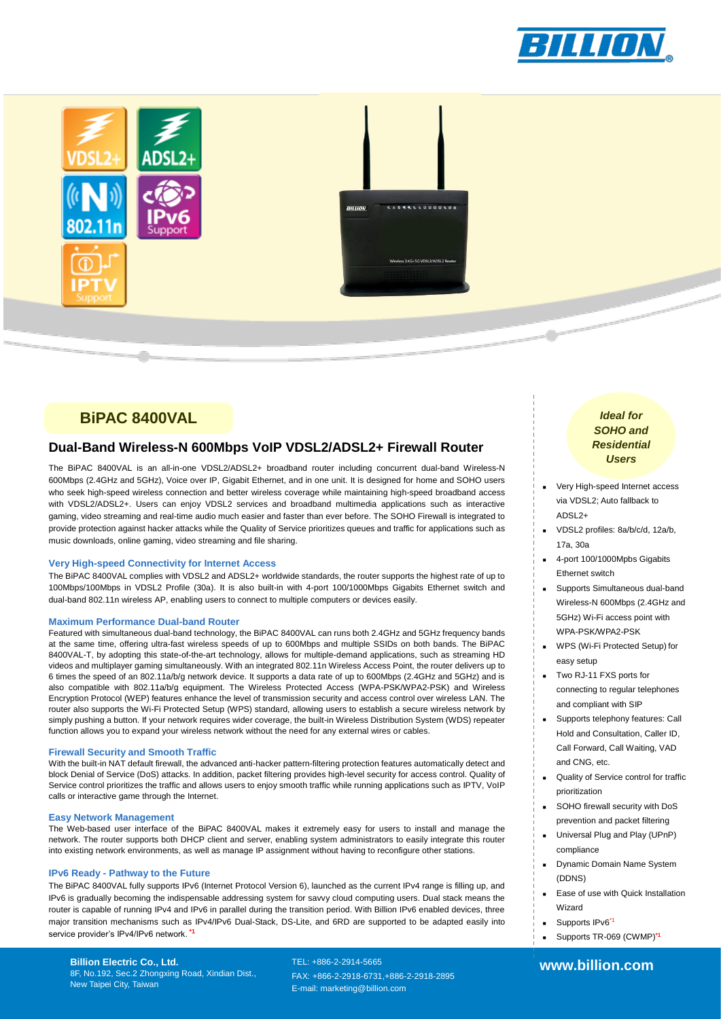





# **BiPAC 8400VAL** *Ideal for*

## **Dual-Band Wireless-N 600Mbps VoIP VDSL2/ADSL2+ Firewall Router**

The BiPAC 8400VAL is an all-in-one VDSL2/ADSL2+ broadband router including concurrent dual-band Wireless-N 600Mbps (2.4GHz and 5GHz), Voice over IP, Gigabit Ethernet, and in one unit. It is designed for home and SOHO users who seek high-speed wireless connection and better wireless coverage while maintaining high-speed broadband access with VDSL2/ADSL2+. Users can enjoy VDSL2 services and broadband multimedia applications such as interactive gaming, video streaming and real-time audio much easier and faster than ever before. The SOHO Firewall is integrated to provide protection against hacker attacks while the Quality of Service prioritizes queues and traffic for applications such as music downloads, online gaming, video streaming and file sharing.

#### **Very High-speed Connectivity for Internet Access**

The BiPAC 8400VAL complies with VDSL2 and ADSL2+ worldwide standards, the router supports the highest rate of up to 100Mbps/100Mbps in VDSL2 Profile (30a). It is also built-in with 4-port 100/1000Mbps Gigabits Ethernet switch and dual-band 802.11n wireless AP, enabling users to connect to multiple computers or devices easily.

#### **Maximum Performance Dual-band Router**

Featured with simultaneous dual-band technology, the BiPAC 8400VAL can runs both 2.4GHz and 5GHz frequency bands at the same time, offering ultra-fast wireless speeds of up to 600Mbps and multiple SSIDs on both bands. The BiPAC 8400VAL-T, by adopting this state-of-the-art technology, allows for multiple-demand applications, such as streaming HD videos and multiplayer gaming simultaneously. With an integrated 802.11n Wireless Access Point, the router delivers up to 6 times the speed of an 802.11a/b/g network device. It supports a data rate of up to 600Mbps (2.4GHz and 5GHz) and is also compatible with 802.11a/b/g equipment. The Wireless Protected Access (WPA-PSK/WPA2-PSK) and Wireless Encryption Protocol (WEP) features enhance the level of transmission security and access control over wireless LAN. The router also supports the Wi-Fi Protected Setup (WPS) standard, allowing users to establish a secure wireless network by simply pushing a button. If your network requires wider coverage, the built-in Wireless Distribution System (WDS) repeater function allows you to expand your wireless network without the need for any external wires or cables.

#### **Firewall Security and Smooth Traffic**

With the built-in NAT default firewall, the advanced anti-hacker pattern-filtering protection features automatically detect and block Denial of Service (DoS) attacks. In addition, packet filtering provides high-level security for access control. Quality of Service control prioritizes the traffic and allows users to enjoy smooth traffic while running applications such as IPTV, VoIP calls or interactive game through the Internet.

#### **Easy Network Management**

The Web-based user interface of the BiPAC 8400VAL makes it extremely easy for users to install and manage the network. The router supports both DHCP client and server, enabling system administrators to easily integrate this router into existing network environments, as well as manage IP assignment without having to reconfigure other stations.

#### **IPv6 Ready - Pathway to the Future**

The BiPAC 8400VAL fully supports IPv6 (Internet Protocol Version 6), launched as the current IPv4 range is filling up, and IPv6 is gradually becoming the indispensable addressing system for savvy cloud computing users. Dual stack means the router is capable of running IPv4 and IPv6 in parallel during the transition period. With Billion IPv6 enabled devices, three major transition mechanisms such as IPv4/IPv6 Dual-Stack, DS-Lite, and 6RD are supported to be adapted easily into service provider's IPv4/IPv6 network. **\*1**

#### **Billion Electric Co., Ltd.** 8F, No.192, Sec.2 Zhongxing Road, Xindian Dist., New Taipei City, Taiwan

TEL: +886-2-2914-5665 FAX: +866-2-2918-6731,+886-2-2918-2895 E-mail: marketing@billion.com

## *SOHO and Residential Users*

- **very High-speed Internet access** via VDSL2; Auto fallback to  $ADRI2+$
- VDSL2 profiles: 8a/b/c/d, 12a/b, 17a, 30a
- 4-port 100/1000Mpbs Gigabits Ethernet switch
- Supports Simultaneous dual-band Wireless-N 600Mbps (2.4GHz and 5GHz) Wi-Fi access point with WPA-PSK/WPA2-PSK
- WPS (Wi-Fi Protected Setup) for easy setup
- **Two RJ-11 FXS ports for** connecting to regular telephones and compliant with SIP
- Supports telephony features: Call Hold and Consultation, Caller ID, Call Forward, Call Waiting, VAD and CNG, etc.
- Quality of Service control for traffic prioritization
- **SOHO** firewall security with DoS prevention and packet filtering
- Universal Plug and Play (UPnP) compliance
- Dynamic Domain Name System (DDNS)
- Ease of use with Quick Installation Wizard
- Supports IPv6\*1
- Supports TR-069 (CWMP)**\*1**

### **www.billion.com**